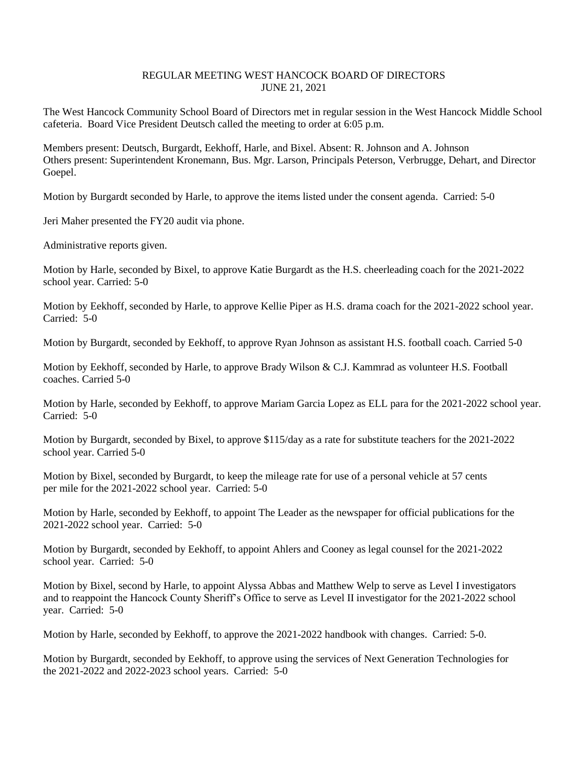## REGULAR MEETING WEST HANCOCK BOARD OF DIRECTORS JUNE 21, 2021

The West Hancock Community School Board of Directors met in regular session in the West Hancock Middle School cafeteria. Board Vice President Deutsch called the meeting to order at 6:05 p.m.

Members present: Deutsch, Burgardt, Eekhoff, Harle, and Bixel. Absent: R. Johnson and A. Johnson Others present: Superintendent Kronemann, Bus. Mgr. Larson, Principals Peterson, Verbrugge, Dehart, and Director Goepel.

Motion by Burgardt seconded by Harle, to approve the items listed under the consent agenda. Carried: 5-0

Jeri Maher presented the FY20 audit via phone.

Administrative reports given.

Motion by Harle, seconded by Bixel, to approve Katie Burgardt as the H.S. cheerleading coach for the 2021-2022 school year. Carried: 5-0

Motion by Eekhoff, seconded by Harle, to approve Kellie Piper as H.S. drama coach for the 2021-2022 school year. Carried: 5-0

Motion by Burgardt, seconded by Eekhoff, to approve Ryan Johnson as assistant H.S. football coach. Carried 5-0

Motion by Eekhoff, seconded by Harle, to approve Brady Wilson & C.J. Kammrad as volunteer H.S. Football coaches. Carried 5-0

Motion by Harle, seconded by Eekhoff, to approve Mariam Garcia Lopez as ELL para for the 2021-2022 school year. Carried: 5-0

Motion by Burgardt, seconded by Bixel, to approve \$115/day as a rate for substitute teachers for the 2021-2022 school year. Carried 5-0

Motion by Bixel, seconded by Burgardt, to keep the mileage rate for use of a personal vehicle at 57 cents per mile for the 2021-2022 school year. Carried: 5-0

Motion by Harle, seconded by Eekhoff, to appoint The Leader as the newspaper for official publications for the 2021-2022 school year. Carried: 5-0

Motion by Burgardt, seconded by Eekhoff, to appoint Ahlers and Cooney as legal counsel for the 2021-2022 school year. Carried: 5-0

Motion by Bixel, second by Harle, to appoint Alyssa Abbas and Matthew Welp to serve as Level I investigators and to reappoint the Hancock County Sheriff's Office to serve as Level II investigator for the 2021-2022 school year. Carried: 5-0

Motion by Harle, seconded by Eekhoff, to approve the 2021-2022 handbook with changes. Carried: 5-0.

Motion by Burgardt, seconded by Eekhoff, to approve using the services of Next Generation Technologies for the 2021-2022 and 2022-2023 school years. Carried: 5-0